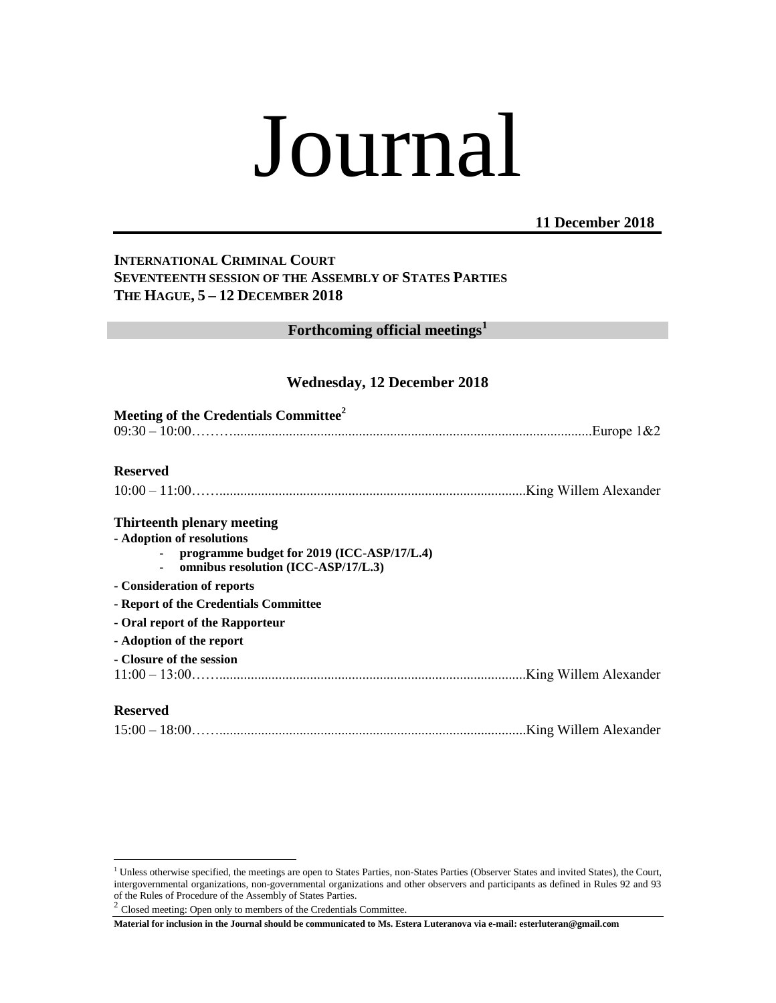# Journal

## **11 December 2018**

## **INTERNATIONAL CRIMINAL COURT SEVENTEENTH SESSION OF THE ASSEMBLY OF STATES PARTIES THE HAGUE, 5 – 12 DECEMBER 2018**

## **Forthcoming official meetings<sup>1</sup>**

## **Wednesday, 12 December 2018**

| Meeting of the Credentials Committee <sup>2</sup>                                                                                                                          |  |
|----------------------------------------------------------------------------------------------------------------------------------------------------------------------------|--|
| <b>Reserved</b>                                                                                                                                                            |  |
|                                                                                                                                                                            |  |
| Thirteenth plenary meeting<br>- Adoption of resolutions<br>programme budget for 2019 (ICC-ASP/17/L.4)<br>omnibus resolution (ICC-ASP/17/L.3)<br>- Consideration of reports |  |
| - Report of the Credentials Committee                                                                                                                                      |  |
| - Oral report of the Rapporteur                                                                                                                                            |  |
| - Adoption of the report                                                                                                                                                   |  |
| - Closure of the session                                                                                                                                                   |  |
| <b>Reserved</b>                                                                                                                                                            |  |
|                                                                                                                                                                            |  |

 $\overline{a}$ 

<sup>&</sup>lt;sup>1</sup> Unless otherwise specified, the meetings are open to States Parties, non-States Parties (Observer States and invited States), the Court, intergovernmental organizations, non-governmental organizations and other observers and participants as defined in Rules 92 and 93 of the Rules of Procedure of the Assembly of States Parties. 2 Closed meeting: Open only to members of the Credentials Committee.

**Material for inclusion in the Journal should be communicated to Ms. Estera Luteranova via e-mail: esterluteran@gmail.com**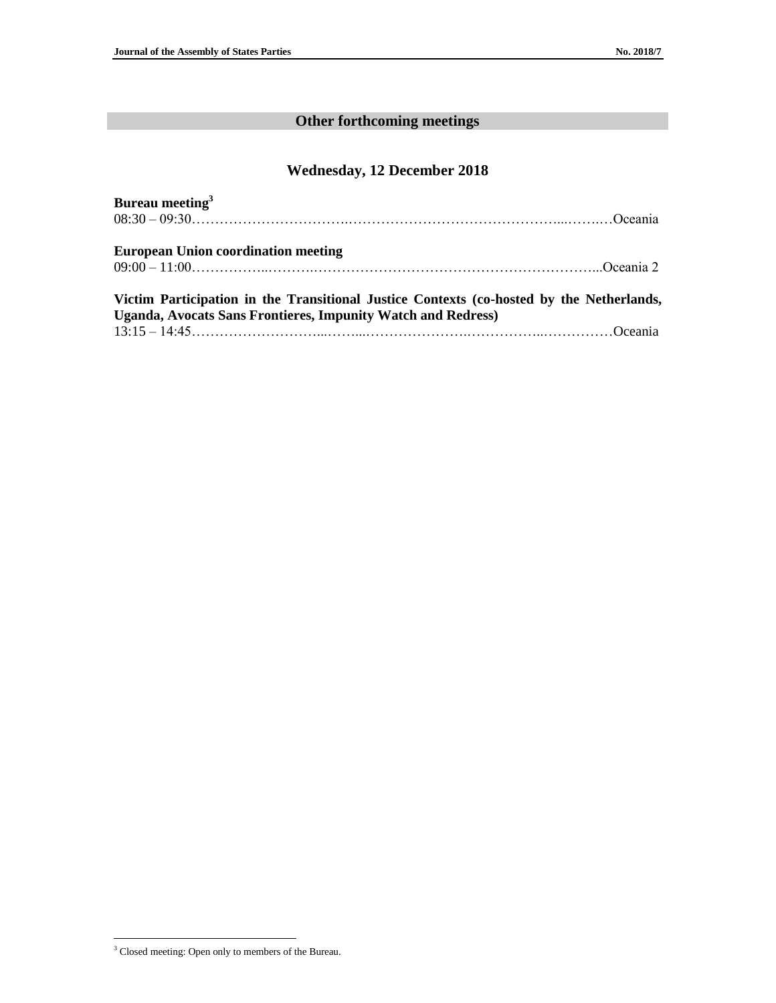# **Other forthcoming meetings**

# **Wednesday, 12 December 2018**

| Bureau meeting <sup>3</sup>                                                              |  |
|------------------------------------------------------------------------------------------|--|
| $08:30-09:30$ Oceania                                                                    |  |
| <b>European Union coordination meeting</b>                                               |  |
|                                                                                          |  |
| Victim Participation in the Transitional Justice Contexts (co-hosted by the Netherlands, |  |
| <b>Uganda, Avocats Sans Frontieres, Impunity Watch and Redress)</b>                      |  |
|                                                                                          |  |

 $\overline{a}$ 

<sup>&</sup>lt;sup>3</sup> Closed meeting: Open only to members of the Bureau.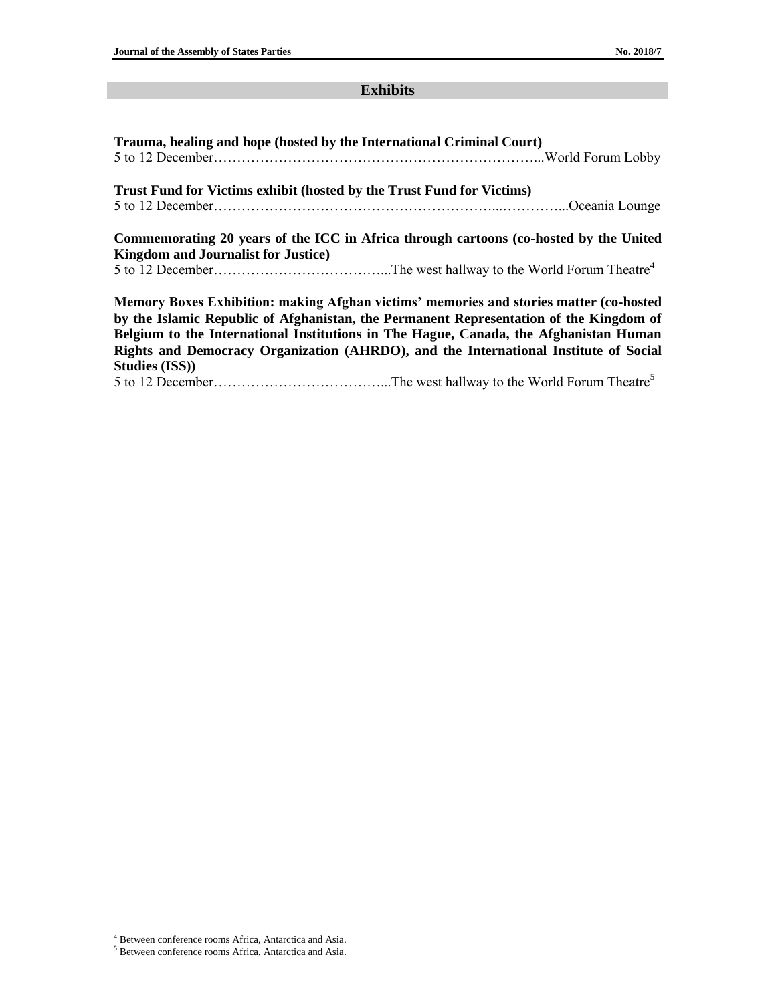# **Exhibits**

| Trauma, healing and hope (hosted by the International Criminal Court) |                                                                                        |
|-----------------------------------------------------------------------|----------------------------------------------------------------------------------------|
|                                                                       |                                                                                        |
| Trust Fund for Victims exhibit (hosted by the Trust Fund for Victims) |                                                                                        |
|                                                                       |                                                                                        |
|                                                                       | Commemorating 20 years of the ICC in Africa through cartoons (co-hosted by the United  |
| <b>Kingdom and Journalist for Justice</b> )                           |                                                                                        |
|                                                                       |                                                                                        |
|                                                                       | Memory Boxes Exhibition: making Afghan victims' memories and stories matter (co-hosted |
|                                                                       | by the Islamic Republic of Afghanistan, the Permanent Representation of the Kingdom of |
|                                                                       | Belgium to the International Institutions in The Hague, Canada, the Afghanistan Human  |
|                                                                       | Rights and Democracy Organization (AHRDO), and the International Institute of Social   |
| <b>Studies (ISS))</b>                                                 |                                                                                        |
|                                                                       |                                                                                        |

 $\overline{a}$ 

<sup>&</sup>lt;sup>4</sup> Between conference rooms Africa, Antarctica and Asia.

<sup>5</sup> Between conference rooms Africa, Antarctica and Asia.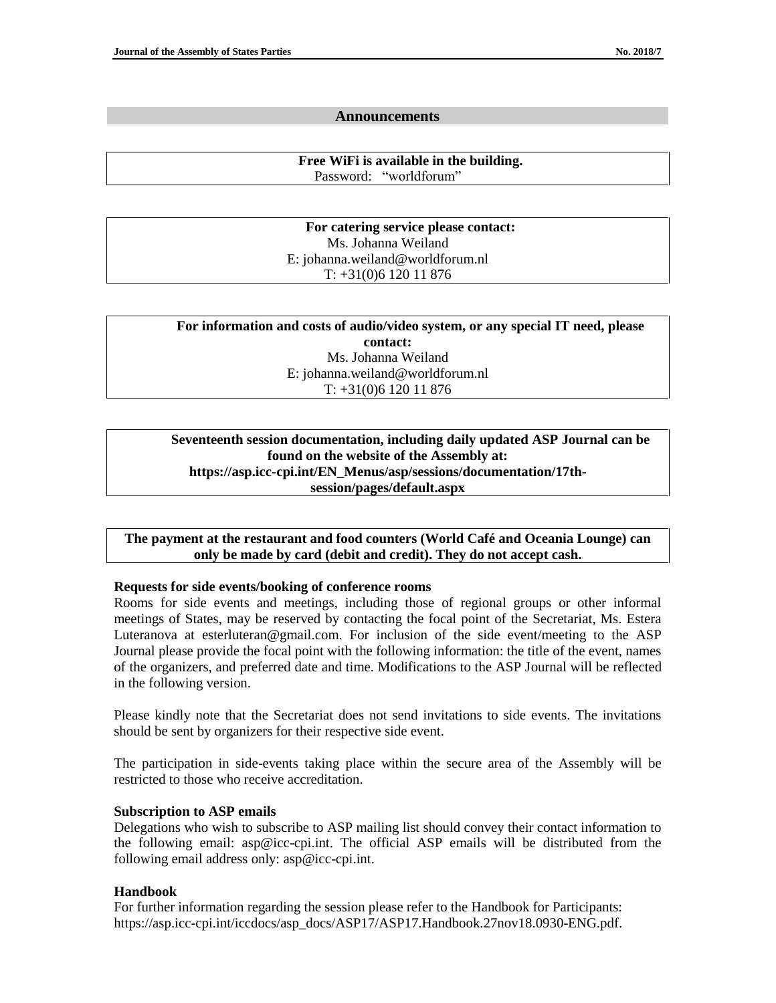#### **Announcements**

**Free WiFi is available in the building.** Password:"worldforum"

**For catering service please contact:** Ms. Johanna Weiland E: johanna.weiland@worldforum.nl T: +31(0)6 120 11 876

| For information and costs of audio/video system, or any special IT need, please |  |  |
|---------------------------------------------------------------------------------|--|--|
| contact:                                                                        |  |  |
| Ms. Johanna Weiland                                                             |  |  |
| E: johanna.weiland@worldforum.nl                                                |  |  |
| $T: +31(0)612011876$                                                            |  |  |

## **Seventeenth session documentation, including daily updated ASP Journal can be found on the website of the Assembly at: https://asp.icc-cpi.int/EN\_Menus/asp/sessions/documentation/17thsession/pages/default.aspx**

**The payment at the restaurant and food counters (World Café and Oceania Lounge) can only be made by card (debit and credit). They do not accept cash.**

#### **Requests for side events/booking of conference rooms**

Rooms for side events and meetings, including those of regional groups or other informal meetings of States, may be reserved by contacting the focal point of the Secretariat, Ms. Estera Luteranova at esterluteran@gmail.com. For inclusion of the side event/meeting to the ASP Journal please provide the focal point with the following information: the title of the event, names of the organizers, and preferred date and time. Modifications to the ASP Journal will be reflected in the following version.

Please kindly note that the Secretariat does not send invitations to side events. The invitations should be sent by organizers for their respective side event.

The participation in side-events taking place within the secure area of the Assembly will be restricted to those who receive accreditation.

## **Subscription to ASP emails**

Delegations who wish to subscribe to ASP mailing list should convey their contact information to the following email: asp@icc-cpi.int. The official ASP emails will be distributed from the following email address only: asp@icc-cpi.int.

## **Handbook**

For further information regarding the session please refer to the Handbook for Participants: https://asp.icc-cpi.int/iccdocs/asp\_docs/ASP17/ASP17.Handbook.27nov18.0930-ENG.pdf.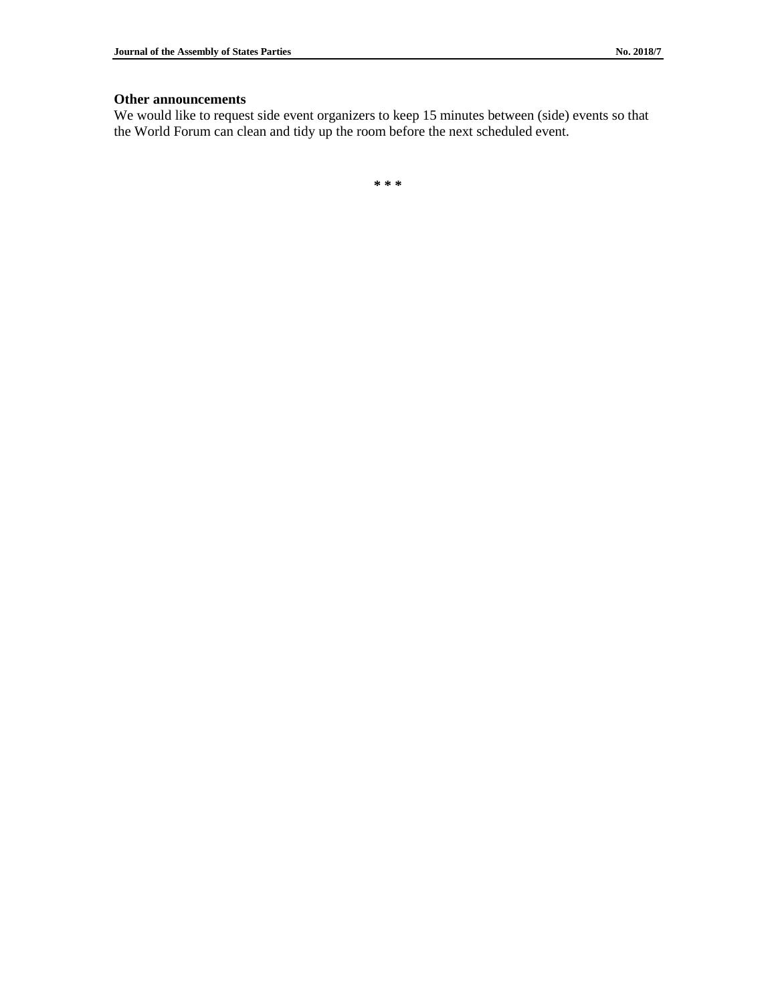#### **Other announcements**

We would like to request side event organizers to keep 15 minutes between (side) events so that the World Forum can clean and tidy up the room before the next scheduled event.

**\* \* \***